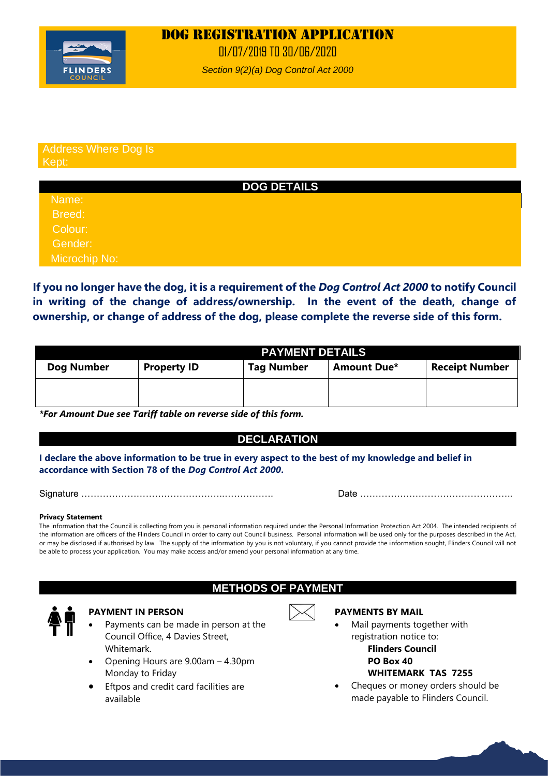# Dog REGISTRATION APPLICATION



01/07/2019 TO 30/06/2020

*Section 9(2)(a) Dog Control Act 2000*

#### Address Where Dog Is Kept:

### **DOG DETAILS**

Name: Breed: Colour: Gender:

Microchip No:

**If you no longer have the dog, it is a requirement of the** *Dog Control Act 2000* **to notify Council in writing of the change of address/ownership. In the event of the death, change of ownership, or change of address of the dog, please complete the reverse side of this form.** 

|            | <b>PAYMENT DETAILS</b> |                   |                    |                       |
|------------|------------------------|-------------------|--------------------|-----------------------|
| Dog Number | <b>Property ID</b>     | <b>Tag Number</b> | <b>Amount Due*</b> | <b>Receipt Number</b> |
|            |                        |                   |                    |                       |
|            |                        |                   |                    |                       |

*\*For Amount Due see Tariff table on reverse side of this form.*

### **DECLARATION**

**I declare the above information to be true in every aspect to the best of my knowledge and belief in accordance with Section 78 of the** *Dog Control Act 2000***.**

Signature ………………………………………..……………. Date …………………………………………..

#### **Privacy Statement**

The information that the Council is collecting from you is personal information required under the Personal Information Protection Act 2004. The intended recipients of the information are officers of the Flinders Council in order to carry out Council business. Personal information will be used only for the purposes described in the Act, or may be disclosed if authorised by law. The supply of the information by you is not voluntary, if you cannot provide the information sought, Flinders Council will not be able to process your application. You may make access and/or amend your personal information at any time.

### **METHODS OF PAYMENT**



### **PAYMENT IN PERSON**

- Payments can be made in person at the Council Office, 4 Davies Street, Whitemark.
- Opening Hours are 9.00am 4.30pm Monday to Friday
- Eftpos and credit card facilities are available



### **PAYMENTS BY MAIL**

- Mail payments together with registration notice to: **Flinders Council PO Box 40 WHITEMARK TAS 7255**
- Cheques or money orders should be made payable to Flinders Council.